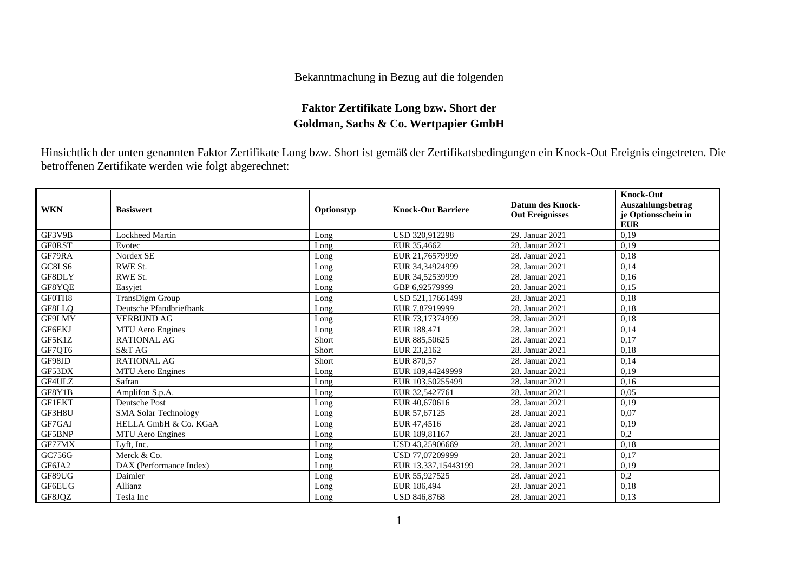## Bekanntmachung in Bezug auf die folgenden

## **Faktor Zertifikate Long bzw. Short der Goldman, Sachs & Co. Wertpapier GmbH**

Hinsichtlich der unten genannten Faktor Zertifikate Long bzw. Short ist gemäß der Zertifikatsbedingungen ein Knock-Out Ereignis eingetreten. Die betroffenen Zertifikate werden wie folgt abgerechnet:

| <b>WKN</b>    | <b>Basiswert</b>            | Optionstyp | <b>Knock-Out Barriere</b> | Datum des Knock-<br><b>Out Ereignisses</b> | <b>Knock-Out</b><br>Auszahlungsbetrag<br>je Optionsschein in<br><b>EUR</b> |
|---------------|-----------------------------|------------|---------------------------|--------------------------------------------|----------------------------------------------------------------------------|
| GF3V9B        | <b>Lockheed Martin</b>      | Long       | USD 320.912298            | 29. Januar 2021                            | 0,19                                                                       |
| <b>GFORST</b> | Evotec                      | Long       | EUR 35,4662               | 28. Januar 2021                            | 0,19                                                                       |
| GF79RA        | Nordex SE                   | Long       | EUR 21,76579999           | 28. Januar 2021                            | 0,18                                                                       |
| GC8LS6        | RWE St.                     | Long       | EUR 34,34924999           | 28. Januar 2021                            | 0,14                                                                       |
| GF8DLY        | RWE St.                     | Long       | EUR 34,52539999           | 28. Januar 2021                            | 0,16                                                                       |
| GF8YQE        | Easyjet                     | Long       | GBP 6.92579999            | 28. Januar 2021                            | 0,15                                                                       |
| GF0TH8        | TransDigm Group             | Long       | USD 521,17661499          | 28. Januar 2021                            | 0,18                                                                       |
| GF8LLO        | Deutsche Pfandbriefbank     | Long       | EUR 7.87919999            | 28. Januar 2021                            | 0.18                                                                       |
| GF9LMY        | <b>VERBUND AG</b>           | Long       | EUR 73,17374999           | 28. Januar 2021                            | 0,18                                                                       |
| GF6EKJ        | <b>MTU</b> Aero Engines     | Long       | EUR 188,471               | 28. Januar 2021                            | 0,14                                                                       |
| GF5K1Z        | <b>RATIONAL AG</b>          | Short      | EUR 885,50625             | 28. Januar 2021                            | 0,17                                                                       |
| GF7OT6        | S&T AG                      | Short      | EUR 23,2162               | 28. Januar 2021                            | 0,18                                                                       |
| GF98JD        | <b>RATIONAL AG</b>          | Short      | EUR 870,57                | 28. Januar 2021                            | 0,14                                                                       |
| GF53DX        | <b>MTU</b> Aero Engines     | Long       | EUR 189,44249999          | 28. Januar 2021                            | 0,19                                                                       |
| GF4ULZ        | Safran                      | Long       | EUR 103.50255499          | 28. Januar 2021                            | 0,16                                                                       |
| GF8Y1B        | Amplifon S.p.A.             | Long       | EUR 32,5427761            | 28. Januar 2021                            | 0,05                                                                       |
| <b>GF1EKT</b> | <b>Deutsche Post</b>        | Long       | EUR 40.670616             | 28. Januar 2021                            | 0,19                                                                       |
| GF3H8U        | <b>SMA Solar Technology</b> | Long       | EUR 57,67125              | 28. Januar 2021                            | 0.07                                                                       |
| GF7GAJ        | HELLA GmbH & Co. KGaA       | Long       | EUR 47,4516               | 28. Januar 2021                            | 0,19                                                                       |
| GF5BNP        | <b>MTU</b> Aero Engines     | Long       | EUR 189,81167             | 28. Januar 2021                            | 0,2                                                                        |
| GF77MX        | Lyft, Inc.                  | Long       | USD 43,25906669           | 28. Januar 2021                            | 0,18                                                                       |
| GC756G        | Merck & Co.                 | Long       | USD 77,07209999           | 28. Januar 2021                            | 0,17                                                                       |
| GF6JA2        | DAX (Performance Index)     | Long       | EUR 13.337,15443199       | 28. Januar 2021                            | 0,19                                                                       |
| GF89UG        | Daimler                     | Long       | EUR 55,927525             | 28. Januar 2021                            | 0,2                                                                        |
| GF6EUG        | Allianz                     | Long       | EUR 186,494               | 28. Januar 2021                            | 0.18                                                                       |
| GF8JOZ        | Tesla Inc                   | Long       | <b>USD 846,8768</b>       | 28. Januar 2021                            | 0.13                                                                       |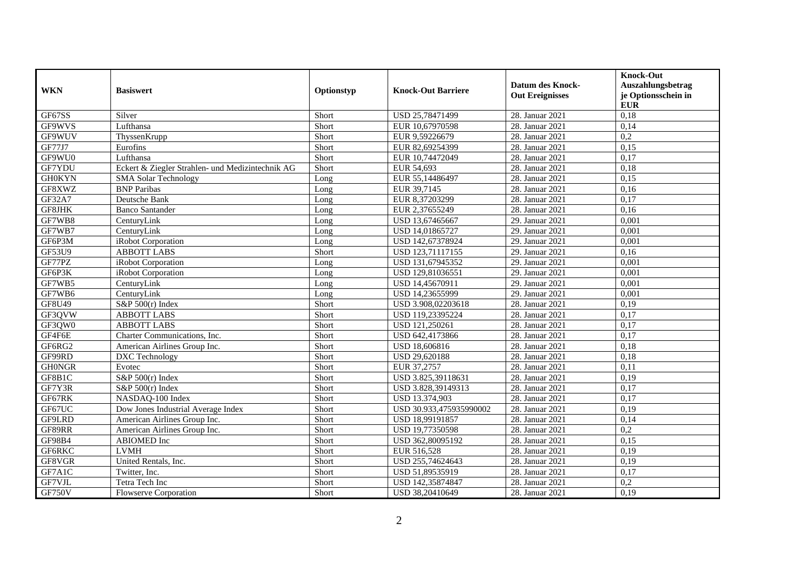| <b>WKN</b>    | <b>Basiswert</b>                                 | Optionstyp | <b>Knock-Out Barriere</b> | <b>Datum des Knock-</b><br><b>Out Ereignisses</b> | <b>Knock-Out</b><br>Auszahlungsbetrag<br>je Optionsschein in<br><b>EUR</b> |
|---------------|--------------------------------------------------|------------|---------------------------|---------------------------------------------------|----------------------------------------------------------------------------|
| GF67SS        | Silver                                           | Short      | USD 25,78471499           | 28. Januar 2021                                   | 0,18                                                                       |
| GF9WVS        | Lufthansa                                        | Short      | EUR 10,67970598           | 28. Januar 2021                                   | 0,14                                                                       |
| GF9WUV        | ThyssenKrupp                                     | Short      | EUR 9,59226679            | 28. Januar 2021                                   | 0,2                                                                        |
| <b>GF77J7</b> | Eurofins                                         | Short      | EUR 82,69254399           | 28. Januar 2021                                   | 0,15                                                                       |
| GF9WU0        | Lufthansa                                        | Short      | EUR 10,74472049           | 28. Januar 2021                                   | 0,17                                                                       |
| GF7YDU        | Eckert & Ziegler Strahlen- und Medizintechnik AG | Short      | EUR 54,693                | 28. Januar 2021                                   | 0,18                                                                       |
| <b>GH0KYN</b> | <b>SMA Solar Technology</b>                      | Long       | EUR 55,14486497           | 28. Januar 2021                                   | 0,15                                                                       |
| GF8XWZ        | <b>BNP</b> Paribas                               | Long       | EUR 39,7145               | 28. Januar 2021                                   | 0,16                                                                       |
| GF32A7        | Deutsche Bank                                    | Long       | EUR 8,37203299            | 28. Januar 2021                                   | 0,17                                                                       |
| GF8JHK        | <b>Banco Santander</b>                           | Long       | EUR 2,37655249            | 28. Januar 2021                                   | 0.16                                                                       |
| GF7WB8        | CenturyLink                                      | Long       | USD 13,67465667           | 29. Januar 2021                                   | 0,001                                                                      |
| GF7WB7        | CenturyLink                                      | Long       | USD 14,01865727           | 29. Januar 2021                                   | 0,001                                                                      |
| GF6P3M        | iRobot Corporation                               | Long       | USD 142,67378924          | 29. Januar 2021                                   | 0,001                                                                      |
| GF53U9        | <b>ABBOTT LABS</b>                               | Short      | USD 123,71117155          | 29. Januar 2021                                   | 0,16                                                                       |
| GF77PZ        | iRobot Corporation                               | Long       | USD 131,67945352          | 29. Januar 2021                                   | 0,001                                                                      |
| GF6P3K        | iRobot Corporation                               | Long       | USD 129,81036551          | 29. Januar 2021                                   | 0,001                                                                      |
| GF7WB5        | CenturyLink                                      | Long       | USD 14.45670911           | 29. Januar 2021                                   | 0.001                                                                      |
| GF7WB6        | CenturyLink                                      | Long       | USD 14,23655999           | 29. Januar 2021                                   | 0,001                                                                      |
| GF8U49        | S&P $500(r)$ Index                               | Short      | USD 3.908,02203618        | 28. Januar 2021                                   | 0,19                                                                       |
| GF3QVW        | <b>ABBOTT LABS</b>                               | Short      | USD 119,23395224          | 28. Januar 2021                                   | 0,17                                                                       |
| GF3QW0        | <b>ABBOTT LABS</b>                               | Short      | USD 121,250261            | 28. Januar 2021                                   | 0,17                                                                       |
| GF4F6E        | Charter Communications, Inc.                     | Short      | USD 642,4173866           | 28. Januar 2021                                   | 0,17                                                                       |
| GF6RG2        | American Airlines Group Inc.                     | Short      | USD 18,606816             | 28. Januar 2021                                   | 0,18                                                                       |
| GF99RD        | DXC Technology                                   | Short      | USD 29,620188             | 28. Januar 2021                                   | 0.18                                                                       |
| <b>GH0NGR</b> | Evotec                                           | Short      | EUR 37,2757               | 28. Januar 2021                                   | 0,11                                                                       |
| GF8B1C        | S&P $500(r)$ Index                               | Short      | USD 3.825,39118631        | 28. Januar 2021                                   | 0,19                                                                       |
| GF7Y3R        | S&P $500(r)$ Index                               | Short      | USD 3.828,39149313        | 28. Januar 2021                                   | 0,17                                                                       |
| GF67RK        | NASDAQ-100 Index                                 | Short      | USD 13.374,903            | 28. Januar 2021                                   | 0,17                                                                       |
| GF67UC        | Dow Jones Industrial Average Index               | Short      | USD 30.933,475935990002   | 28. Januar 2021                                   | 0,19                                                                       |
| GF9LRD        | American Airlines Group Inc.                     | Short      | USD 18,99191857           | 28. Januar 2021                                   | 0,14                                                                       |
| GF89RR        | American Airlines Group Inc.                     | Short      | USD 19,77350598           | 28. Januar 2021                                   | 0,2                                                                        |
| GF98B4        | <b>ABIOMED</b> Inc                               | Short      | USD 362,80095192          | 28. Januar 2021                                   | 0,15                                                                       |
| GF6RKC        | <b>LVMH</b>                                      | Short      | EUR 516,528               | 28. Januar 2021                                   | 0,19                                                                       |
| GF8VGR        | United Rentals, Inc.                             | Short      | USD 255,74624643          | 28. Januar 2021                                   | 0,19                                                                       |
| GF7A1C        | Twitter, Inc.                                    | Short      | USD 51,89535919           | 28. Januar 2021                                   | 0,17                                                                       |
| GF7VJL        | Tetra Tech Inc                                   | Short      | USD 142,35874847          | 28. Januar 2021                                   | 0,2                                                                        |
| GF750V        | <b>Flowserve Corporation</b>                     | Short      | USD 38,20410649           | 28. Januar 2021                                   | 0,19                                                                       |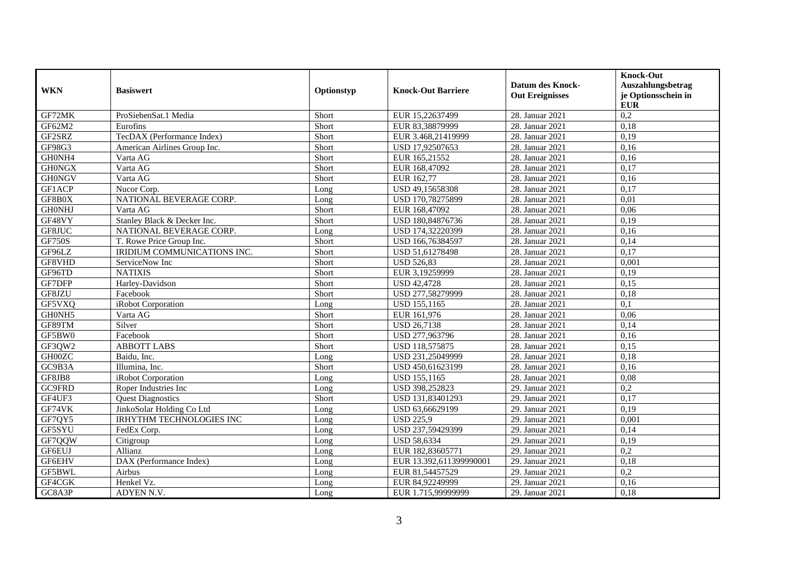| <b>WKN</b>    | <b>Basiswert</b>             | Optionstyp | <b>Knock-Out Barriere</b> | <b>Datum des Knock-</b><br><b>Out Ereignisses</b> | <b>Knock-Out</b><br>Auszahlungsbetrag<br>je Optionsschein in<br><b>EUR</b> |
|---------------|------------------------------|------------|---------------------------|---------------------------------------------------|----------------------------------------------------------------------------|
| GF72MK        | ProSiebenSat.1 Media         | Short      | EUR 15,22637499           | 28. Januar 2021                                   | $\overline{0.2}$                                                           |
| GF62M2        | Eurofins                     | Short      | EUR 83,38879999           | 28. Januar 2021                                   | 0,18                                                                       |
| GF2SRZ        | TecDAX (Performance Index)   | Short      | EUR 3.468,21419999        | 28. Januar 2021                                   | 0,19                                                                       |
| GF98G3        | American Airlines Group Inc. | Short      | USD 17,92507653           | 28. Januar 2021                                   | 0,16                                                                       |
| GH0NH4        | Varta AG                     | Short      | EUR 165,21552             | 28. Januar 2021                                   | 0,16                                                                       |
| <b>GH0NGX</b> | Varta AG                     | Short      | EUR 168,47092             | 28. Januar 2021                                   | 0,17                                                                       |
| <b>GH0NGV</b> | Varta AG                     | Short      | EUR 162,77                | 28. Januar 2021                                   | 0,16                                                                       |
| GF1ACP        | Nucor Corp.                  | Long       | USD 49,15658308           | 28. Januar 2021                                   | 0,17                                                                       |
| GF8B0X        | NATIONAL BEVERAGE CORP.      | Long       | USD 170,78275899          | 28. Januar 2021                                   | 0.01                                                                       |
| <b>GHONHJ</b> | Varta AG                     | Short      | EUR 168,47092             | 28. Januar 2021                                   | 0,06                                                                       |
| GF48VY        | Stanley Black & Decker Inc.  | Short      | USD 180,84876736          | 28. Januar 2021                                   | 0,19                                                                       |
| GF8JUC        | NATIONAL BEVERAGE CORP.      | Long       | USD 174,32220399          | 28. Januar 2021                                   | 0,16                                                                       |
| <b>GF750S</b> | T. Rowe Price Group Inc.     | Short      | USD 166,76384597          | 28. Januar 2021                                   | 0,14                                                                       |
| GF96LZ        | IRIDIUM COMMUNICATIONS INC.  | Short      | USD 51,61278498           | 28. Januar 2021                                   | 0,17                                                                       |
| GF8VHD        | ServiceNow Inc               | Short      | <b>USD 526,83</b>         | 28. Januar 2021                                   | 0,001                                                                      |
| GF96TD        | <b>NATIXIS</b>               | Short      | EUR 3,19259999            | 28. Januar 2021                                   | 0,19                                                                       |
| GF7DFP        | Harley-Davidson              | Short      | <b>USD 42.4728</b>        | 28. Januar 2021                                   | 0.15                                                                       |
| GF8JZU        | Facebook                     | Short      | USD 277,58279999          | 28. Januar 2021                                   | 0,18                                                                       |
| GF5VXQ        | iRobot Corporation           | Long       | <b>USD 155,1165</b>       | 28. Januar 2021                                   | 0,1                                                                        |
| GH0NH5        | Varta AG                     | Short      | EUR 161,976               | 28. Januar 2021                                   | 0.06                                                                       |
| GF89TM        | Silver                       | Short      | <b>USD 26,7138</b>        | 28. Januar 2021                                   | 0,14                                                                       |
| GF5BW0        | Facebook                     | Short      | USD 277,963796            | 28. Januar 2021                                   | 0,16                                                                       |
| GF3QW2        | <b>ABBOTT LABS</b>           | Short      | USD 118,575875            | 28. Januar 2021                                   | 0,15                                                                       |
| GH00ZC        | Baidu, Inc.                  | Long       | USD 231,25049999          | 28. Januar 2021                                   | 0,18                                                                       |
| GC9B3A        | Illumina, Inc.               | Short      | USD 450,61623199          | 28. Januar 2021                                   | 0,16                                                                       |
| GF8JB8        | iRobot Corporation           | Long       | USD 155,1165              | 28. Januar 2021                                   | 0,08                                                                       |
| GC9FRD        | Roper Industries Inc         | Long       | USD 398,252823            | 29. Januar 2021                                   | 0,2                                                                        |
| GF4UF3        | <b>Quest Diagnostics</b>     | Short      | USD 131,83401293          | 29. Januar 2021                                   | 0,17                                                                       |
| GF74VK        | JinkoSolar Holding Co Ltd    | Long       | USD 63,66629199           | 29. Januar 2021                                   | 0,19                                                                       |
| GF7QY5        | IRHYTHM TECHNOLOGIES INC     | Long       | <b>USD 225,9</b>          | 29. Januar 2021                                   | 0,001                                                                      |
| GF5SYU        | FedEx Corp.                  | Long       | USD 237,59429399          | 29. Januar 2021                                   | 0.14                                                                       |
| GF7QQW        | Citigroup                    | Long       | <b>USD 58,6334</b>        | 29. Januar 2021                                   | 0,19                                                                       |
| GF6EUJ        | Allianz                      | Long       | EUR 182,83605771          | 29. Januar 2021                                   | 0,2                                                                        |
| GF6EHV        | DAX (Performance Index)      | Long       | EUR 13.392,611399990001   | 29. Januar 2021                                   | 0,18                                                                       |
| GF5BWL        | Airbus                       | Long       | EUR 81,54457529           | 29. Januar 2021                                   | 0,2                                                                        |
| GF4CGK        | Henkel Vz.                   | Long       | EUR 84,92249999           | 29. Januar 2021                                   | 0,16                                                                       |
| GC8A3P        | ADYEN N.V.                   | Long       | EUR 1.715,99999999        | 29. Januar 2021                                   | 0,18                                                                       |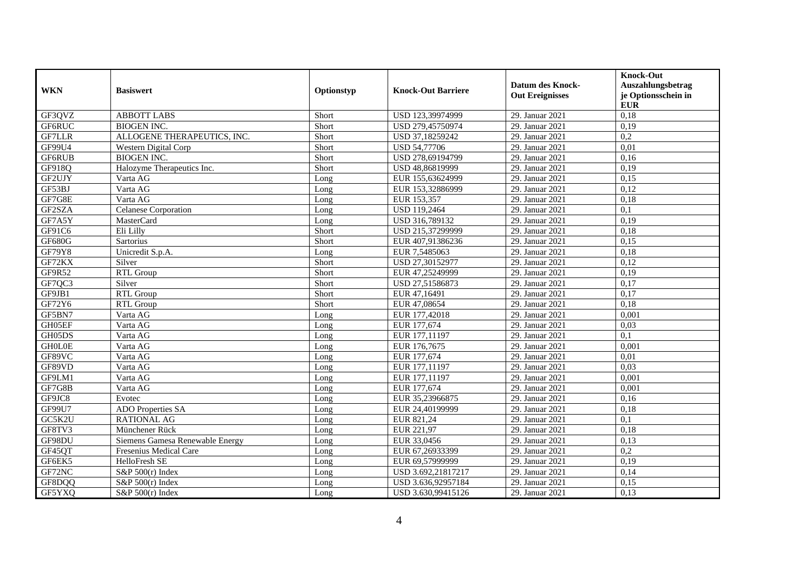| <b>WKN</b>    | <b>Basiswert</b>                | Optionstyp | <b>Knock-Out Barriere</b> | <b>Datum des Knock-</b><br><b>Out Ereignisses</b> | <b>Knock-Out</b><br>Auszahlungsbetrag<br>je Optionsschein in<br><b>EUR</b> |
|---------------|---------------------------------|------------|---------------------------|---------------------------------------------------|----------------------------------------------------------------------------|
| GF3QVZ        | <b>ABBOTT LABS</b>              | Short      | USD 123,39974999          | 29. Januar 2021                                   | 0,18                                                                       |
| GF6RUC        | <b>BIOGEN INC.</b>              | Short      | USD 279,45750974          | 29. Januar 2021                                   | 0,19                                                                       |
| <b>GF7LLR</b> | ALLOGENE THERAPEUTICS, INC.     | Short      | USD 37,18259242           | 29. Januar 2021                                   | 0,2                                                                        |
| GF99U4        | Western Digital Corp            | Short      | <b>USD 54,77706</b>       | 29. Januar 2021                                   | 0,01                                                                       |
| GF6RUB        | <b>BIOGEN INC.</b>              | Short      | USD 278,69194799          | 29. Januar 2021                                   | 0,16                                                                       |
| GF918Q        | Halozyme Therapeutics Inc.      | Short      | USD 48,86819999           | 29. Januar 2021                                   | 0,19                                                                       |
| GF2UJY        | Varta AG                        | Long       | EUR 155,63624999          | 29. Januar 2021                                   | 0.15                                                                       |
| GF53BJ        | Varta AG                        | Long       | EUR 153,32886999          | 29. Januar 2021                                   | 0,12                                                                       |
| GF7G8E        | Varta AG                        | Long       | EUR 153,357               | 29. Januar 2021                                   | 0.18                                                                       |
| GF2SZA        | Celanese Corporation            | Long       | USD 119,2464              | 29. Januar 2021                                   | 0,1                                                                        |
| GF7A5Y        | MasterCard                      | Long       | USD 316,789132            | 29. Januar 2021                                   | 0,19                                                                       |
| GF91C6        | Eli Lilly                       | Short      | USD 215,37299999          | 29. Januar 2021                                   | 0,18                                                                       |
| <b>GF680G</b> | Sartorius                       | Short      | EUR 407,91386236          | 29. Januar 2021                                   | 0,15                                                                       |
| GF79Y8        | Unicredit S.p.A.                | Long       | EUR 7,5485063             | 29. Januar 2021                                   | 0.18                                                                       |
| GF72KX        | Silver                          | Short      | USD 27,30152977           | 29. Januar 2021                                   | 0,12                                                                       |
| GF9R52        | <b>RTL Group</b>                | Short      | EUR 47,25249999           | 29. Januar 2021                                   | 0,19                                                                       |
| GF7QC3        | Silver                          | Short      | USD 27,51586873           | 29. Januar 2021                                   | 0,17                                                                       |
| GF9JB1        | RTL Group                       | Short      | EUR 47,16491              | 29. Januar 2021                                   | 0,17                                                                       |
| GF72Y6        | RTL Group                       | Short      | EUR 47,08654              | 29. Januar 2021                                   | 0,18                                                                       |
| GF5BN7        | Varta AG                        | Long       | EUR 177,42018             | 29. Januar 2021                                   | 0,001                                                                      |
| GH05EF        | Varta AG                        | Long       | EUR 177,674               | 29. Januar 2021                                   | 0,03                                                                       |
| GH05DS        | Varta AG                        | Long       | EUR 177,11197             | 29. Januar 2021                                   | 0,1                                                                        |
| <b>GHOLOE</b> | Varta AG                        | Long       | EUR 176,7675              | 29. Januar 2021                                   | 0,001                                                                      |
| GF89VC        | Varta AG                        | Long       | EUR 177,674               | 29. Januar 2021                                   | 0,01                                                                       |
| GF89VD        | Varta AG                        | Long       | EUR 177,11197             | 29. Januar 2021                                   | 0.03                                                                       |
| GF9LM1        | Varta AG                        | Long       | EUR 177,11197             | 29. Januar 2021                                   | 0,001                                                                      |
| GF7G8B        | Varta AG                        | Long       | EUR 177,674               | 29. Januar 2021                                   | 0,001                                                                      |
| GF9JC8        | Evotec                          | Long       | EUR 35,23966875           | 29. Januar 2021                                   | 0,16                                                                       |
| GF99U7        | <b>ADO</b> Properties SA        | Long       | EUR 24,40199999           | 29. Januar 2021                                   | 0,18                                                                       |
| GC5K2U        | <b>RATIONAL AG</b>              | Long       | EUR 821,24                | 29. Januar 2021                                   | 0,1                                                                        |
| GF8TV3        | Münchener Rück                  | Long       | EUR 221,97                | 29. Januar 2021                                   | 0,18                                                                       |
| GF98DU        | Siemens Gamesa Renewable Energy | Long       | EUR 33,0456               | 29. Januar 2021                                   | 0,13                                                                       |
| GF45QT        | Fresenius Medical Care          | Long       | EUR 67,26933399           | 29. Januar 2021                                   | 0,2                                                                        |
| GF6EK5        | HelloFresh SE                   | Long       | EUR 69,57999999           | 29. Januar 2021                                   | 0,19                                                                       |
| GF72NC        | S&P $500(r)$ Index              | Long       | USD 3.692,21817217        | 29. Januar 2021                                   | 0,14                                                                       |
| GF8DQQ        | S&P 500(r) Index                | Long       | USD 3.636,92957184        | 29. Januar 2021                                   | 0,15                                                                       |
| GF5YXQ        | S&P 500(r) Index                | Long       | USD 3.630,99415126        | 29. Januar 2021                                   | 0,13                                                                       |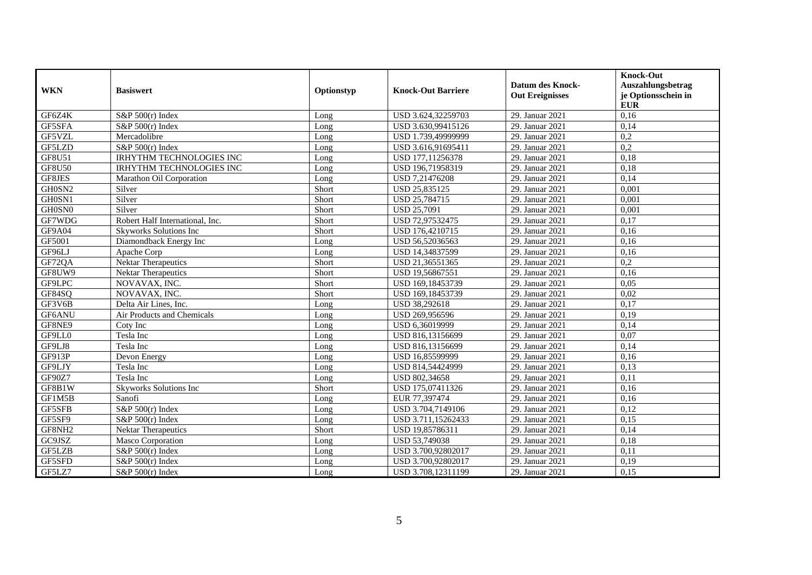| <b>WKN</b>    | <b>Basiswert</b>                | Optionstyp | <b>Knock-Out Barriere</b> | <b>Datum des Knock-</b><br><b>Out Ereignisses</b> | <b>Knock-Out</b><br>Auszahlungsbetrag<br>je Optionsschein in<br><b>EUR</b> |
|---------------|---------------------------------|------------|---------------------------|---------------------------------------------------|----------------------------------------------------------------------------|
| GF6Z4K        | S&P $500(r)$ Index              | Long       | USD 3.624,32259703        | 29. Januar 2021                                   | 0,16                                                                       |
| GF5SFA        | $S\&P 500(r)$ Index             | Long       | USD 3.630.99415126        | 29. Januar 2021                                   | 0.14                                                                       |
| GF5VZL        | Mercadolibre                    | Long       | USD 1.739,49999999        | 29. Januar 2021                                   | 0,2                                                                        |
| GF5LZD        | S&P 500(r) Index                | Long       | USD 3.616,91695411        | 29. Januar 2021                                   | 0,2                                                                        |
| GF8U51        | <b>IRHYTHM TECHNOLOGIES INC</b> | Long       | USD 177,11256378          | 29. Januar 2021                                   | 0,18                                                                       |
| <b>GF8U50</b> | IRHYTHM TECHNOLOGIES INC        | Long       | USD 196,71958319          | 29. Januar 2021                                   | 0,18                                                                       |
| GF8JES        | Marathon Oil Corporation        | Long       | USD 7,21476208            | 29. Januar 2021                                   | 0,14                                                                       |
| GH0SN2        | Silver                          | Short      | USD 25,835125             | 29. Januar 2021                                   | 0,001                                                                      |
| GH0SN1        | Silver                          | Short      | USD 25,784715             | 29. Januar 2021                                   | 0,001                                                                      |
| GH0SN0        | Silver                          | Short      | <b>USD 25,7091</b>        | 29. Januar 2021                                   | 0,001                                                                      |
| GF7WDG        | Robert Half International, Inc. | Short      | USD 72,97532475           | 29. Januar 2021                                   | 0,17                                                                       |
| GF9A04        | Skyworks Solutions Inc          | Short      | USD 176,4210715           | 29. Januar 2021                                   | 0,16                                                                       |
| GF5001        | Diamondback Energy Inc          | Long       | USD 56,52036563           | 29. Januar 2021                                   | 0,16                                                                       |
| GF96LJ        | Apache Corp                     | Long       | USD 14,34837599           | 29. Januar 2021                                   | 0,16                                                                       |
| GF72QA        | Nektar Therapeutics             | Short      | USD 21,36551365           | 29. Januar 2021                                   | 0,2                                                                        |
| GF8UW9        | Nektar Therapeutics             | Short      | USD 19,56867551           | 29. Januar 2021                                   | 0,16                                                                       |
| GF9LPC        | NOVAVAX, INC.                   | Short      | USD 169,18453739          | 29. Januar 2021                                   | 0,05                                                                       |
| GF84SQ        | NOVAVAX, INC.                   | Short      | USD 169,18453739          | 29. Januar 2021                                   | 0,02                                                                       |
| GF3V6B        | Delta Air Lines, Inc.           | Long       | USD 38,292618             | 29. Januar 2021                                   | 0,17                                                                       |
| GF6ANU        | Air Products and Chemicals      | Long       | USD 269,956596            | 29. Januar 2021                                   | 0,19                                                                       |
| GF8NE9        | Coty Inc                        | Long       | USD 6,36019999            | 29. Januar 2021                                   | 0,14                                                                       |
| GF9LL0        | Tesla Inc                       | Long       | USD 816,13156699          | 29. Januar 2021                                   | 0,07                                                                       |
| GF9LJ8        | Tesla Inc                       | Long       | USD 816,13156699          | 29. Januar 2021                                   | 0,14                                                                       |
| GF913P        | Devon Energy                    | Long       | USD 16,85599999           | 29. Januar 2021                                   | 0,16                                                                       |
| GF9LJY        | Tesla Inc                       | Long       | USD 814,54424999          | 29. Januar 2021                                   | 0,13                                                                       |
| GF90Z7        | Tesla Inc                       | Long       | USD 802,34658             | 29. Januar 2021                                   | 0,11                                                                       |
| GF8B1W        | Skyworks Solutions Inc          | Short      | USD 175,07411326          | 29. Januar 2021                                   | 0,16                                                                       |
| GF1M5B        | Sanofi                          | Long       | EUR 77,397474             | 29. Januar 2021                                   | 0,16                                                                       |
| GF5SFB        | S&P 500(r) Index                | Long       | USD 3.704,7149106         | 29. Januar 2021                                   | 0,12                                                                       |
| GF5SF9        | S&P $500(r)$ Index              | Long       | USD 3.711,15262433        | 29. Januar 2021                                   | 0,15                                                                       |
| GF8NH2        | Nektar Therapeutics             | Short      | USD 19,85786311           | 29. Januar 2021                                   | 0,14                                                                       |
| GC9JSZ        | Masco Corporation               | Long       | USD 53,749038             | 29. Januar 2021                                   | 0,18                                                                       |
| GF5LZB        | $S\&P 500(r)$ Index             | Long       | USD 3.700,92802017        | 29. Januar 2021                                   | 0,11                                                                       |
| GF5SFD        | $S\&P 500(r)$ Index             | Long       | USD 3.700,92802017        | 29. Januar 2021                                   | 0,19                                                                       |
| GF5LZ7        | $S&P 500(r)$ Index              | Long       | USD 3.708,12311199        | 29. Januar 2021                                   | 0.15                                                                       |